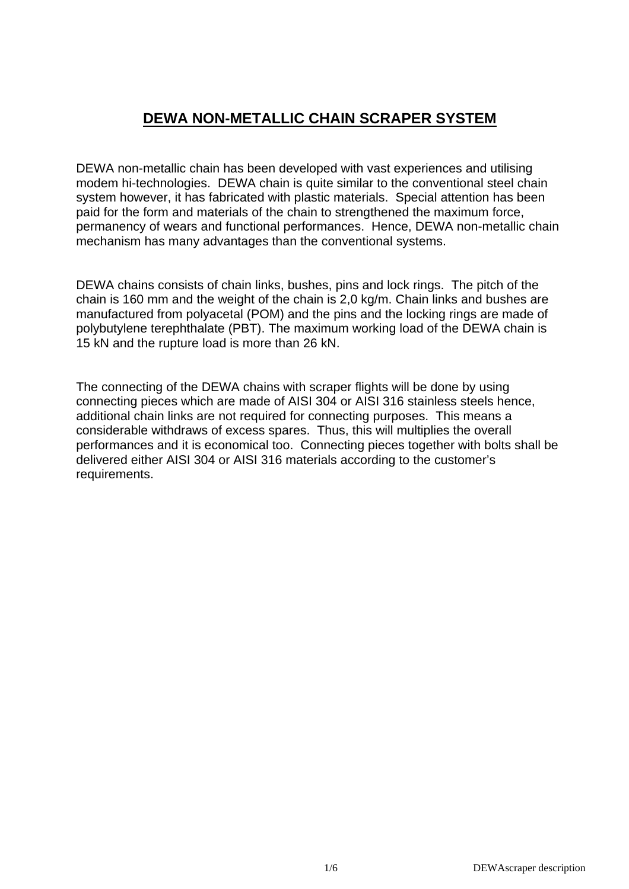# **DEWA NON-METALLIC CHAIN SCRAPER SYSTEM**

DEWA non-metallic chain has been developed with vast experiences and utilising modem hi-technologies. DEWA chain is quite similar to the conventional steel chain system however, it has fabricated with plastic materials. Special attention has been paid for the form and materials of the chain to strengthened the maximum force, permanency of wears and functional performances. Hence, DEWA non-metallic chain mechanism has many advantages than the conventional systems.

DEWA chains consists of chain links, bushes, pins and lock rings. The pitch of the chain is 160 mm and the weight of the chain is 2,0 kg/m. Chain links and bushes are manufactured from polyacetal (POM) and the pins and the locking rings are made of polybutylene terephthalate (PBT). The maximum working load of the DEWA chain is 15 kN and the rupture load is more than 26 kN.

The connecting of the DEWA chains with scraper flights will be done by using connecting pieces which are made of AISI 304 or AISI 316 stainless steels hence, additional chain links are not required for connecting purposes. This means a considerable withdraws of excess spares. Thus, this will multiplies the overall performances and it is economical too. Connecting pieces together with bolts shall be delivered either AISI 304 or AISI 316 materials according to the customer's requirements.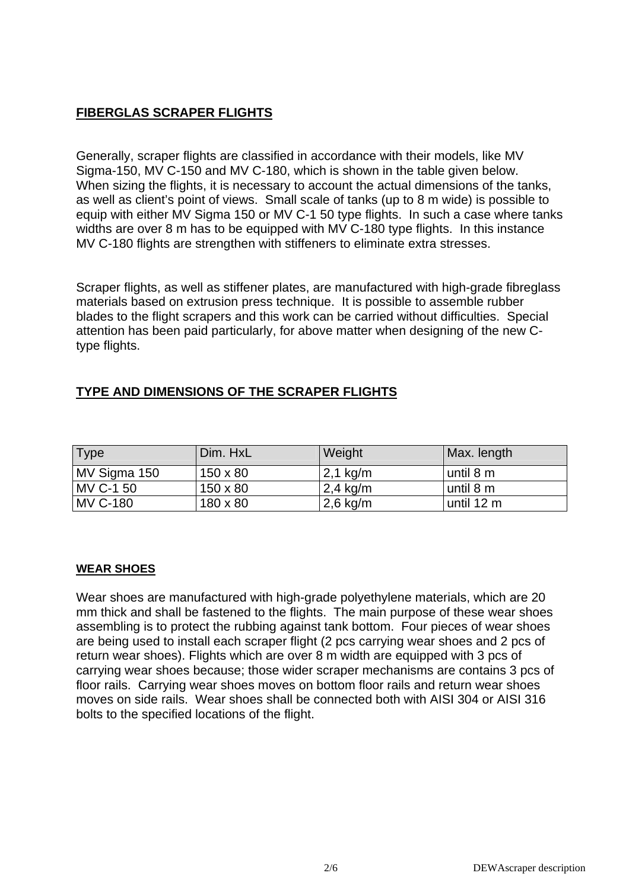### **FIBERGLAS SCRAPER FLIGHTS**

Generally, scraper flights are classified in accordance with their models, like MV Sigma-150, MV C-150 and MV C-180, which is shown in the table given below. When sizing the flights, it is necessary to account the actual dimensions of the tanks, as well as client's point of views. Small scale of tanks (up to 8 m wide) is possible to equip with either MV Sigma 150 or MV C-1 50 type flights. In such a case where tanks widths are over 8 m has to be equipped with MV C-180 type flights. In this instance MV C-180 flights are strengthen with stiffeners to eliminate extra stresses.

Scraper flights, as well as stiffener plates, are manufactured with high-grade fibreglass materials based on extrusion press technique. It is possible to assemble rubber blades to the flight scrapers and this work can be carried without difficulties. Special attention has been paid particularly, for above matter when designing of the new Ctype flights.

# **TYPE AND DIMENSIONS OF THE SCRAPER FLIGHTS**

| Type            | 'Dim. HxL       | Weight     | Max. length |
|-----------------|-----------------|------------|-------------|
| MV Sigma 150    | $150 \times 80$ | $2,1$ kg/m | until 8 m   |
| MV C-1 50       | $150 \times 80$ | $2,4$ kg/m | until 8 m   |
| <b>MV C-180</b> | 180 x 80        | $2,6$ kg/m | until 12 m  |

#### **WEAR SHOES**

Wear shoes are manufactured with high-grade polyethylene materials, which are 20 mm thick and shall be fastened to the flights. The main purpose of these wear shoes assembling is to protect the rubbing against tank bottom. Four pieces of wear shoes are being used to install each scraper flight (2 pcs carrying wear shoes and 2 pcs of return wear shoes). Flights which are over 8 m width are equipped with 3 pcs of carrying wear shoes because; those wider scraper mechanisms are contains 3 pcs of floor rails. Carrying wear shoes moves on bottom floor rails and return wear shoes moves on side rails. Wear shoes shall be connected both with AISI 304 or AISI 316 bolts to the specified locations of the flight.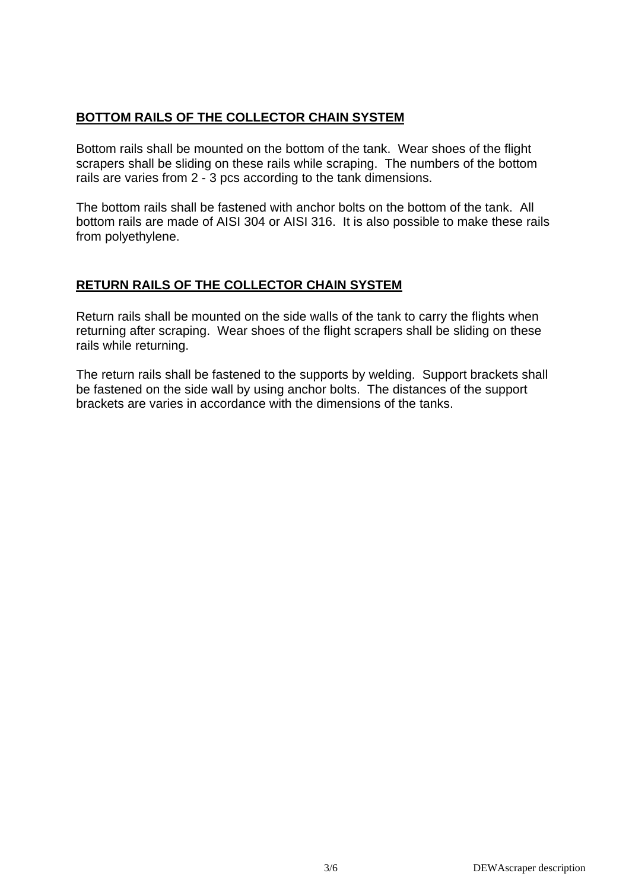## **BOTTOM RAILS OF THE COLLECTOR CHAIN SYSTEM**

Bottom rails shall be mounted on the bottom of the tank. Wear shoes of the flight scrapers shall be sliding on these rails while scraping. The numbers of the bottom rails are varies from 2 - 3 pcs according to the tank dimensions.

The bottom rails shall be fastened with anchor bolts on the bottom of the tank. All bottom rails are made of AISI 304 or AISI 316. It is also possible to make these rails from polyethylene.

## **RETURN RAILS OF THE COLLECTOR CHAIN SYSTEM**

Return rails shall be mounted on the side walls of the tank to carry the flights when returning after scraping. Wear shoes of the flight scrapers shall be sliding on these rails while returning.

The return rails shall be fastened to the supports by welding. Support brackets shall be fastened on the side wall by using anchor bolts. The distances of the support brackets are varies in accordance with the dimensions of the tanks.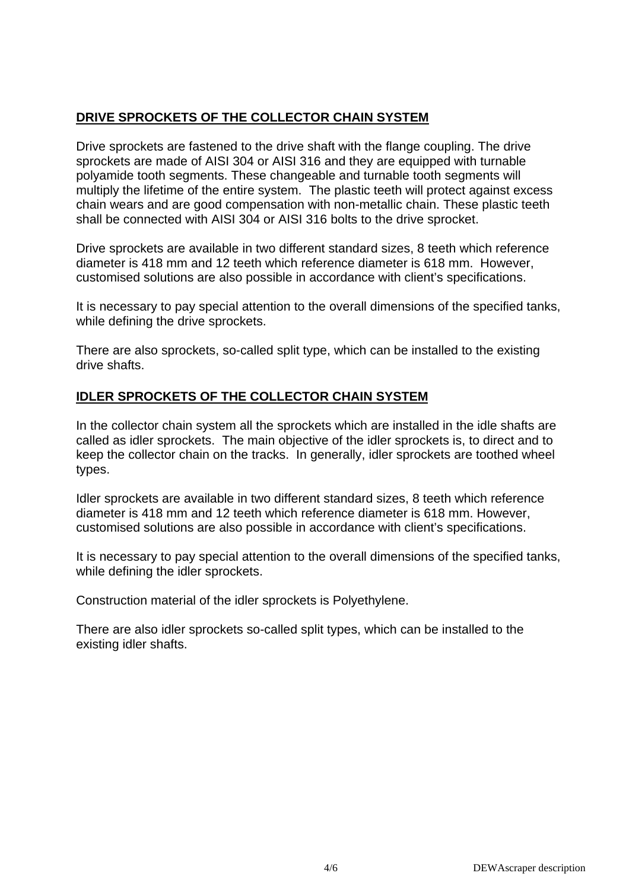# **DRIVE SPROCKETS OF THE COLLECTOR CHAIN SYSTEM**

Drive sprockets are fastened to the drive shaft with the flange coupling. The drive sprockets are made of AISI 304 or AISI 316 and they are equipped with turnable polyamide tooth segments. These changeable and turnable tooth segments will multiply the lifetime of the entire system. The plastic teeth will protect against excess chain wears and are good compensation with non-metallic chain. These plastic teeth shall be connected with AISI 304 or AISI 316 bolts to the drive sprocket.

Drive sprockets are available in two different standard sizes, 8 teeth which reference diameter is 418 mm and 12 teeth which reference diameter is 618 mm. However, customised solutions are also possible in accordance with client's specifications.

It is necessary to pay special attention to the overall dimensions of the specified tanks, while defining the drive sprockets.

There are also sprockets, so-called split type, which can be installed to the existing drive shafts.

### **IDLER SPROCKETS OF THE COLLECTOR CHAIN SYSTEM**

In the collector chain system all the sprockets which are installed in the idle shafts are called as idler sprockets. The main objective of the idler sprockets is, to direct and to keep the collector chain on the tracks. In generally, idler sprockets are toothed wheel types.

Idler sprockets are available in two different standard sizes, 8 teeth which reference diameter is 418 mm and 12 teeth which reference diameter is 618 mm. However, customised solutions are also possible in accordance with client's specifications.

It is necessary to pay special attention to the overall dimensions of the specified tanks, while defining the idler sprockets.

Construction material of the idler sprockets is Polyethylene.

There are also idler sprockets so-called split types, which can be installed to the existing idler shafts.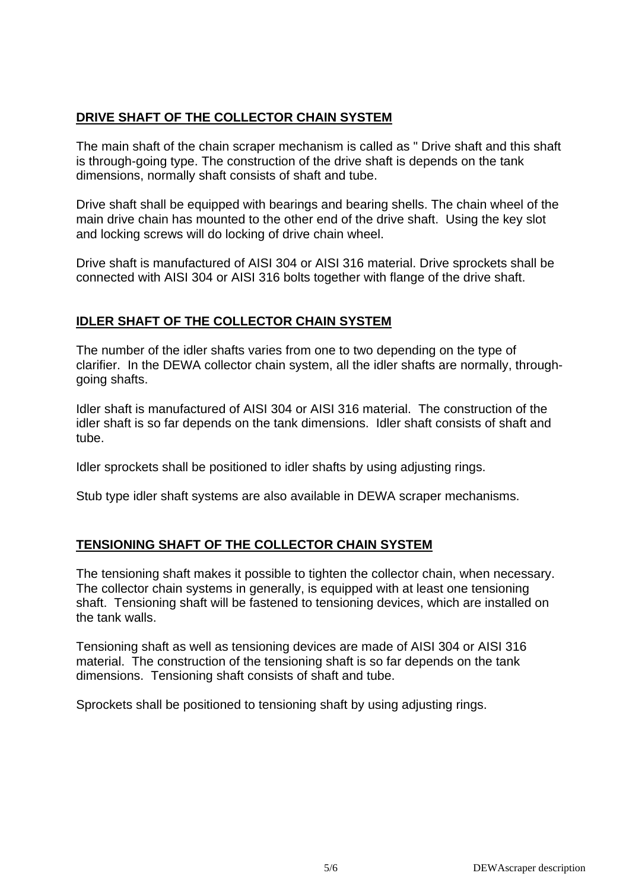# **DRIVE SHAFT OF THE COLLECTOR CHAIN SYSTEM**

The main shaft of the chain scraper mechanism is called as " Drive shaft and this shaft is through-going type. The construction of the drive shaft is depends on the tank dimensions, normally shaft consists of shaft and tube.

Drive shaft shall be equipped with bearings and bearing shells. The chain wheel of the main drive chain has mounted to the other end of the drive shaft. Using the key slot and locking screws will do locking of drive chain wheel.

Drive shaft is manufactured of AISI 304 or AISI 316 material. Drive sprockets shall be connected with AISI 304 or AISI 316 bolts together with flange of the drive shaft.

### **IDLER SHAFT OF THE COLLECTOR CHAIN SYSTEM**

The number of the idler shafts varies from one to two depending on the type of clarifier. In the DEWA collector chain system, all the idler shafts are normally, throughgoing shafts.

Idler shaft is manufactured of AISI 304 or AISI 316 material. The construction of the idler shaft is so far depends on the tank dimensions. Idler shaft consists of shaft and tube.

Idler sprockets shall be positioned to idler shafts by using adjusting rings.

Stub type idler shaft systems are also available in DEWA scraper mechanisms.

# **TENSIONING SHAFT OF THE COLLECTOR CHAIN SYSTEM**

The tensioning shaft makes it possible to tighten the collector chain, when necessary. The collector chain systems in generally, is equipped with at least one tensioning shaft. Tensioning shaft will be fastened to tensioning devices, which are installed on the tank walls.

Tensioning shaft as well as tensioning devices are made of AISI 304 or AISI 316 material. The construction of the tensioning shaft is so far depends on the tank dimensions. Tensioning shaft consists of shaft and tube.

Sprockets shall be positioned to tensioning shaft by using adjusting rings.